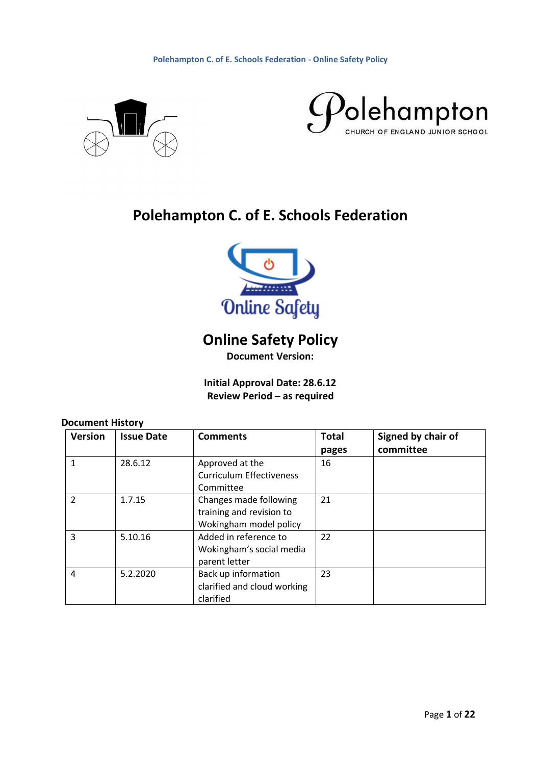



# **Polehampton C. of E. Schools Federation**



# **Online Safety Policy**

**Document Version:** 

**Initial Approval Date: 28.6.12 Review Period – as required**

# **Document History**

| <b>Version</b> | <b>Issue Date</b> | <b>Comments</b>                                                              | <b>Total</b> | Signed by chair of |
|----------------|-------------------|------------------------------------------------------------------------------|--------------|--------------------|
|                |                   |                                                                              | pages        | committee          |
| 1              | 28.6.12           | Approved at the<br><b>Curriculum Effectiveness</b><br>Committee              | 16           |                    |
| $\overline{2}$ | 1.7.15            | Changes made following<br>training and revision to<br>Wokingham model policy | 21           |                    |
| 3              | 5.10.16           | Added in reference to<br>Wokingham's social media<br>parent letter           | 22           |                    |
| 4              | 5.2.2020          | Back up information<br>clarified and cloud working<br>clarified              | 23           |                    |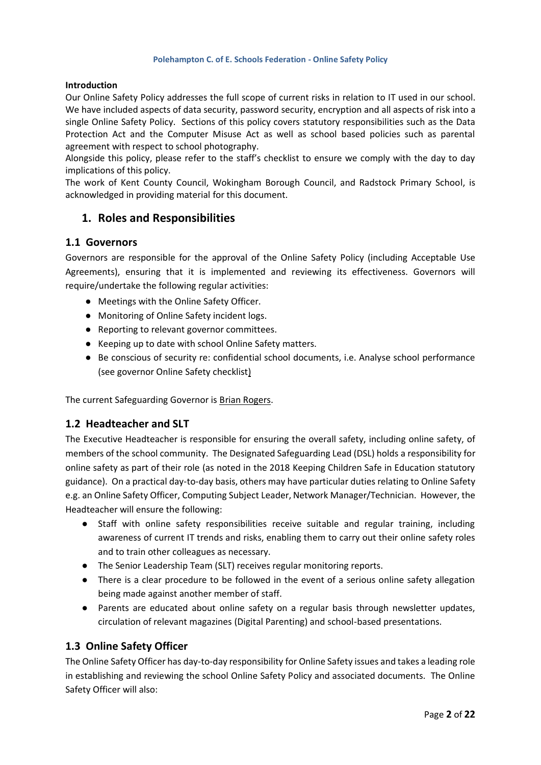#### **Introduction**

Our Online Safety Policy addresses the full scope of current risks in relation to IT used in our school. We have included aspects of data security, password security, encryption and all aspects of risk into a single Online Safety Policy. Sections of this policy covers statutory responsibilities such as the Data Protection Act and the Computer Misuse Act as well as school based policies such as parental agreement with respect to school photography.

Alongside this policy, please refer to the staff's checklist to ensure we comply with the day to day implications of this policy.

The work of Kent County Council, Wokingham Borough Council, and Radstock Primary School, is acknowledged in providing material for this document.

### **1. Roles and Responsibilities**

### **1.1 Governors**

Governors are responsible for the approval of the Online Safety Policy (including Acceptable Use Agreements), ensuring that it is implemented and reviewing its effectiveness. Governors will require/undertake the following regular activities:

- Meetings with the Online Safety Officer.
- Monitoring of Online Safety incident logs.
- Reporting to relevant governor committees.
- Keeping up to date with school Online Safety matters.
- Be conscious of security re: confidential school documents, i.e. Analyse school performance (see governor Online Safety checklist)

The current Safeguarding Governor is Brian Rogers.

### **1.2 Headteacher and SLT**

The Executive Headteacher is responsible for ensuring the overall safety, including online safety, of members of the school community. The Designated Safeguarding Lead (DSL) holds a responsibility for online safety as part of their role (as noted in the 2018 Keeping Children Safe in Education statutory guidance). On a practical day-to-day basis, others may have particular duties relating to Online Safety e.g. an Online Safety Officer, Computing Subject Leader, Network Manager/Technician. However, the Headteacher will ensure the following:

- Staff with online safety responsibilities receive suitable and regular training, including awareness of current IT trends and risks, enabling them to carry out their online safety roles and to train other colleagues as necessary.
- The Senior Leadership Team (SLT) receives regular monitoring reports.
- There is a clear procedure to be followed in the event of a serious online safety allegation being made against another member of staff.
- Parents are educated about online safety on a regular basis through newsletter updates, circulation of relevant magazines (Digital Parenting) and school-based presentations.

### **1.3 Online Safety Officer**

The Online Safety Officer has day-to-day responsibility for Online Safety issues and takes a leading role in establishing and reviewing the school Online Safety Policy and associated documents. The Online Safety Officer will also: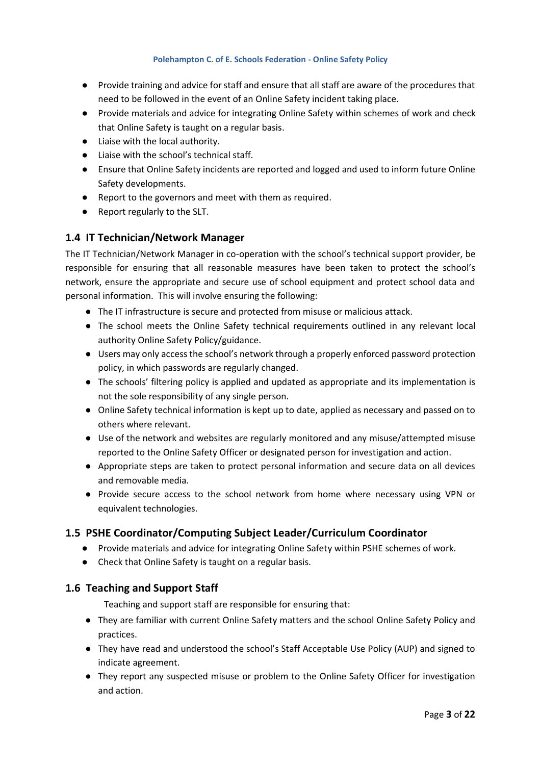- Provide training and advice for staff and ensure that all staff are aware of the procedures that need to be followed in the event of an Online Safety incident taking place.
- Provide materials and advice for integrating Online Safety within schemes of work and check that Online Safety is taught on a regular basis.
- Liaise with the local authority.
- Liaise with the school's technical staff.
- Ensure that Online Safety incidents are reported and logged and used to inform future Online Safety developments.
- Report to the governors and meet with them as required.
- Report regularly to the SLT.

### **1.4 IT Technician/Network Manager**

The IT Technician/Network Manager in co-operation with the school's technical support provider, be responsible for ensuring that all reasonable measures have been taken to protect the school's network, ensure the appropriate and secure use of school equipment and protect school data and personal information. This will involve ensuring the following:

- The IT infrastructure is secure and protected from misuse or malicious attack.
- The school meets the Online Safety technical requirements outlined in any relevant local authority Online Safety Policy/guidance.
- Users may only access the school's network through a properly enforced password protection policy, in which passwords are regularly changed.
- The schools' filtering policy is applied and updated as appropriate and its implementation is not the sole responsibility of any single person.
- Online Safety technical information is kept up to date, applied as necessary and passed on to others where relevant.
- Use of the network and websites are regularly monitored and any misuse/attempted misuse reported to the Online Safety Officer or designated person for investigation and action.
- Appropriate steps are taken to protect personal information and secure data on all devices and removable media.
- Provide secure access to the school network from home where necessary using VPN or equivalent technologies.

### **1.5 PSHE Coordinator/Computing Subject Leader/Curriculum Coordinator**

- Provide materials and advice for integrating Online Safety within PSHE schemes of work.
- Check that Online Safety is taught on a regular basis.

### **1.6 Teaching and Support Staff**

Teaching and support staff are responsible for ensuring that:

- They are familiar with current Online Safety matters and the school Online Safety Policy and practices.
- They have read and understood the school's Staff Acceptable Use Policy (AUP) and signed to indicate agreement.
- They report any suspected misuse or problem to the Online Safety Officer for investigation and action.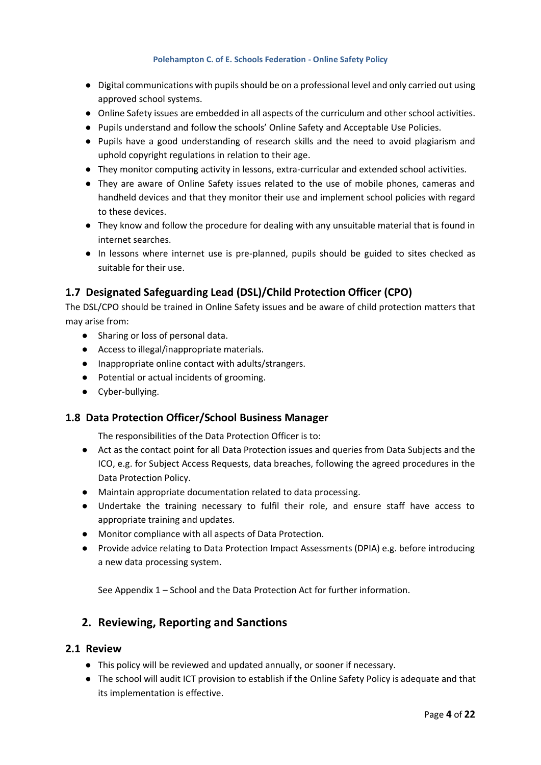- Digital communications with pupils should be on a professional level and only carried out using approved school systems.
- Online Safety issues are embedded in all aspects of the curriculum and other school activities.
- Pupils understand and follow the schools' Online Safety and Acceptable Use Policies.
- Pupils have a good understanding of research skills and the need to avoid plagiarism and uphold copyright regulations in relation to their age.
- They monitor computing activity in lessons, extra-curricular and extended school activities.
- They are aware of Online Safety issues related to the use of mobile phones, cameras and handheld devices and that they monitor their use and implement school policies with regard to these devices.
- They know and follow the procedure for dealing with any unsuitable material that is found in internet searches.
- In lessons where internet use is pre-planned, pupils should be guided to sites checked as suitable for their use.

## **1.7 Designated Safeguarding Lead (DSL)/Child Protection Officer (CPO)**

The DSL/CPO should be trained in Online Safety issues and be aware of child protection matters that may arise from:

- Sharing or loss of personal data.
- Access to illegal/inappropriate materials.
- Inappropriate online contact with adults/strangers.
- Potential or actual incidents of grooming.
- Cyber-bullying.

### **1.8 Data Protection Officer/School Business Manager**

The responsibilities of the Data Protection Officer is to:

- Act as the contact point for all Data Protection issues and queries from Data Subjects and the ICO, e.g. for Subject Access Requests, data breaches, following the agreed procedures in the Data Protection Policy.
- Maintain appropriate documentation related to data processing.
- Undertake the training necessary to fulfil their role, and ensure staff have access to appropriate training and updates.
- Monitor compliance with all aspects of Data Protection.
- Provide advice relating to Data Protection Impact Assessments (DPIA) e.g. before introducing a new data processing system.

See Appendix 1 – School and the Data Protection Act for further information.

### **2. Reviewing, Reporting and Sanctions**

### **2.1 Review**

- This policy will be reviewed and updated annually, or sooner if necessary.
- The school will audit ICT provision to establish if the Online Safety Policy is adequate and that its implementation is effective.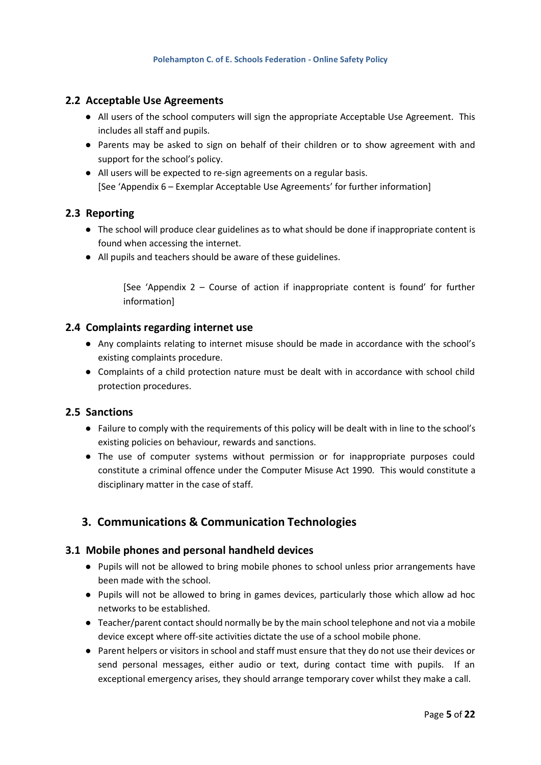### **2.2 Acceptable Use Agreements**

- All users of the school computers will sign the appropriate Acceptable Use Agreement. This includes all staff and pupils.
- Parents may be asked to sign on behalf of their children or to show agreement with and support for the school's policy.
- All users will be expected to re-sign agreements on a regular basis. [See 'Appendix 6 – Exemplar Acceptable Use Agreements' for further information]

### **2.3 Reporting**

- The school will produce clear guidelines as to what should be done if inappropriate content is found when accessing the internet.
- All pupils and teachers should be aware of these guidelines.

[See 'Appendix 2 – Course of action if inappropriate content is found' for further information]

#### **2.4 Complaints regarding internet use**

- Any complaints relating to internet misuse should be made in accordance with the school's existing complaints procedure.
- Complaints of a child protection nature must be dealt with in accordance with school child protection procedures.

#### **2.5 Sanctions**

- Failure to comply with the requirements of this policy will be dealt with in line to the school's existing policies on behaviour, rewards and sanctions.
- The use of computer systems without permission or for inappropriate purposes could constitute a criminal offence under the Computer Misuse Act 1990. This would constitute a disciplinary matter in the case of staff.

### **3. Communications & Communication Technologies**

### **3.1 Mobile phones and personal handheld devices**

- Pupils will not be allowed to bring mobile phones to school unless prior arrangements have been made with the school.
- Pupils will not be allowed to bring in games devices, particularly those which allow ad hoc networks to be established.
- Teacher/parent contact should normally be by the main school telephone and not via a mobile device except where off-site activities dictate the use of a school mobile phone.
- Parent helpers or visitors in school and staff must ensure that they do not use their devices or send personal messages, either audio or text, during contact time with pupils. If an exceptional emergency arises, they should arrange temporary cover whilst they make a call.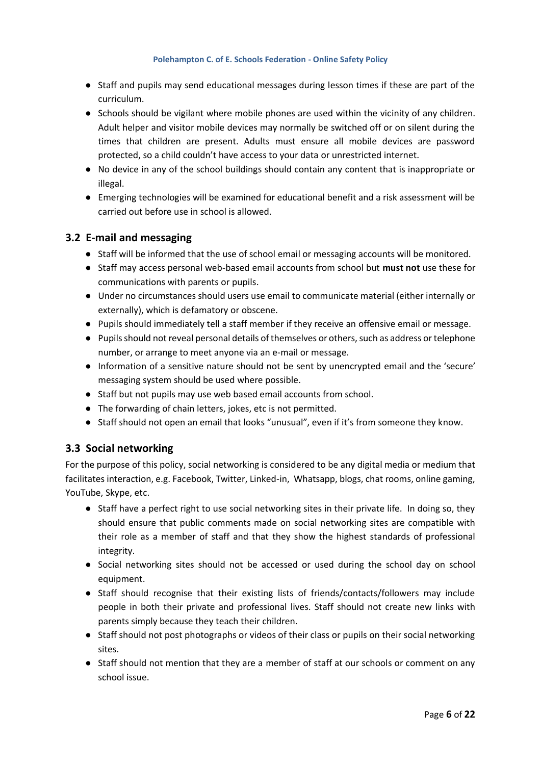- Staff and pupils may send educational messages during lesson times if these are part of the curriculum.
- Schools should be vigilant where mobile phones are used within the vicinity of any children. Adult helper and visitor mobile devices may normally be switched off or on silent during the times that children are present. Adults must ensure all mobile devices are password protected, so a child couldn't have access to your data or unrestricted internet.
- No device in any of the school buildings should contain any content that is inappropriate or illegal.
- Emerging technologies will be examined for educational benefit and a risk assessment will be carried out before use in school is allowed.

### **3.2 E-mail and messaging**

- Staff will be informed that the use of school email or messaging accounts will be monitored.
- Staff may access personal web-based email accounts from school but **must not** use these for communications with parents or pupils.
- Under no circumstances should users use email to communicate material (either internally or externally), which is defamatory or obscene.
- Pupils should immediately tell a staff member if they receive an offensive email or message.
- Pupils should not reveal personal details of themselves or others, such as address or telephone number, or arrange to meet anyone via an e-mail or message.
- Information of a sensitive nature should not be sent by unencrypted email and the 'secure' messaging system should be used where possible.
- Staff but not pupils may use web based email accounts from school.
- The forwarding of chain letters, jokes, etc is not permitted.
- Staff should not open an email that looks "unusual", even if it's from someone they know.

### **3.3 Social networking**

For the purpose of this policy, social networking is considered to be any digital media or medium that facilitates interaction, e.g. Facebook, Twitter, Linked-in, Whatsapp, blogs, chat rooms, online gaming, YouTube, Skype, etc.

- Staff have a perfect right to use social networking sites in their private life. In doing so, they should ensure that public comments made on social networking sites are compatible with their role as a member of staff and that they show the highest standards of professional integrity.
- Social networking sites should not be accessed or used during the school day on school equipment.
- Staff should recognise that their existing lists of friends/contacts/followers may include people in both their private and professional lives. Staff should not create new links with parents simply because they teach their children.
- Staff should not post photographs or videos of their class or pupils on their social networking sites.
- Staff should not mention that they are a member of staff at our schools or comment on any school issue.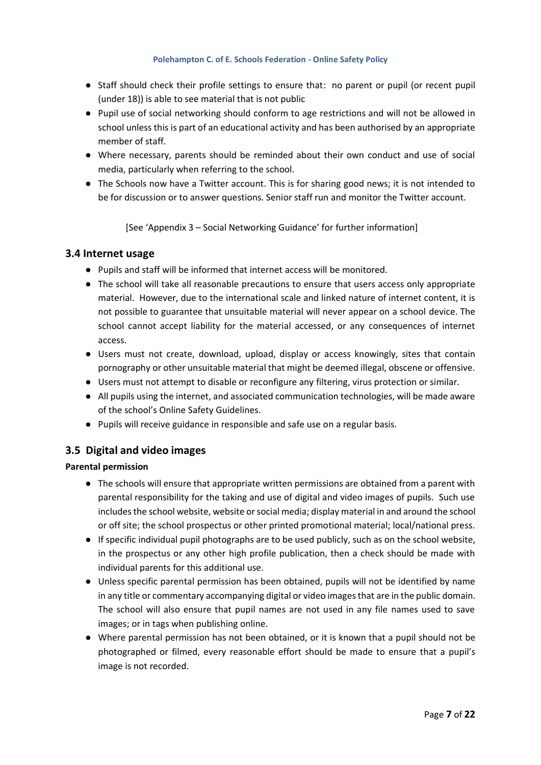- Staff should check their profile settings to ensure that: no parent or pupil (or recent pupil (under 18)) is able to see material that is not public
- Pupil use of social networking should conform to age restrictions and will not be allowed in school unless this is part of an educational activity and has been authorised by an appropriate member of staff.
- Where necessary, parents should be reminded about their own conduct and use of social media, particularly when referring to the school.
- The Schools now have a Twitter account. This is for sharing good news; it is not intended to be for discussion or to answer questions. Senior staff run and monitor the Twitter account.

[See 'Appendix 3 – Social Networking Guidance' for further information]

### **3.4 Internet usage**

- Pupils and staff will be informed that internet access will be monitored.
- The school will take all reasonable precautions to ensure that users access only appropriate material. However, due to the international scale and linked nature of internet content, it is not possible to guarantee that unsuitable material will never appear on a school device. The school cannot accept liability for the material accessed, or any consequences of internet access.
- Users must not create, download, upload, display or access knowingly, sites that contain pornography or other unsuitable material that might be deemed illegal, obscene or offensive.
- Users must not attempt to disable or reconfigure any filtering, virus protection or similar.
- All pupils using the internet, and associated communication technologies, will be made aware of the school's Online Safety Guidelines.
- Pupils will receive guidance in responsible and safe use on a regular basis.

### **3.5 Digital and video images**

### **Parental permission**

- The schools will ensure that appropriate written permissions are obtained from a parent with parental responsibility for the taking and use of digital and video images of pupils. Such use includes the school website, website or social media; display material in and around the school or off site; the school prospectus or other printed promotional material; local/national press.
- If specific individual pupil photographs are to be used publicly, such as on the school website, in the prospectus or any other high profile publication, then a check should be made with individual parents for this additional use.
- Unless specific parental permission has been obtained, pupils will not be identified by name in any title or commentary accompanying digital or video images that are in the public domain. The school will also ensure that pupil names are not used in any file names used to save images; or in tags when publishing online.
- Where parental permission has not been obtained, or it is known that a pupil should not be photographed or filmed, every reasonable effort should be made to ensure that a pupil's image is not recorded.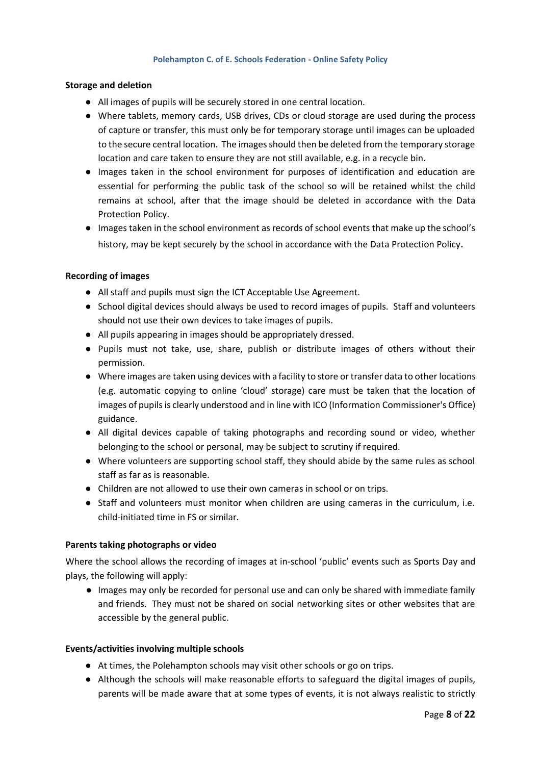#### **Storage and deletion**

- All images of pupils will be securely stored in one central location.
- Where tablets, memory cards, USB drives, CDs or cloud storage are used during the process of capture or transfer, this must only be for temporary storage until images can be uploaded to the secure central location. The images should then be deleted from the temporary storage location and care taken to ensure they are not still available, e.g. in a recycle bin.
- Images taken in the school environment for purposes of identification and education are essential for performing the public task of the school so will be retained whilst the child remains at school, after that the image should be deleted in accordance with the Data Protection Policy.
- Images taken in the school environment as records of school events that make up the school's history, may be kept securely by the school in accordance with the Data Protection Policy.

#### **Recording of images**

- All staff and pupils must sign the ICT Acceptable Use Agreement.
- School digital devices should always be used to record images of pupils. Staff and volunteers should not use their own devices to take images of pupils.
- All pupils appearing in images should be appropriately dressed.
- Pupils must not take, use, share, publish or distribute images of others without their permission.
- Where images are taken using devices with a facility to store or transfer data to other locations (e.g. automatic copying to online 'cloud' storage) care must be taken that the location of images of pupils is clearly understood and in line with ICO (Information Commissioner's Office) guidance.
- All digital devices capable of taking photographs and recording sound or video, whether belonging to the school or personal, may be subject to scrutiny if required.
- Where volunteers are supporting school staff, they should abide by the same rules as school staff as far as is reasonable.
- Children are not allowed to use their own cameras in school or on trips.
- Staff and volunteers must monitor when children are using cameras in the curriculum, i.e. child-initiated time in FS or similar.

### **Parents taking photographs or video**

Where the school allows the recording of images at in-school 'public' events such as Sports Day and plays, the following will apply:

● Images may only be recorded for personal use and can only be shared with immediate family and friends. They must not be shared on social networking sites or other websites that are accessible by the general public.

### **Events/activities involving multiple schools**

- At times, the Polehampton schools may visit other schools or go on trips.
- Although the schools will make reasonable efforts to safeguard the digital images of pupils, parents will be made aware that at some types of events, it is not always realistic to strictly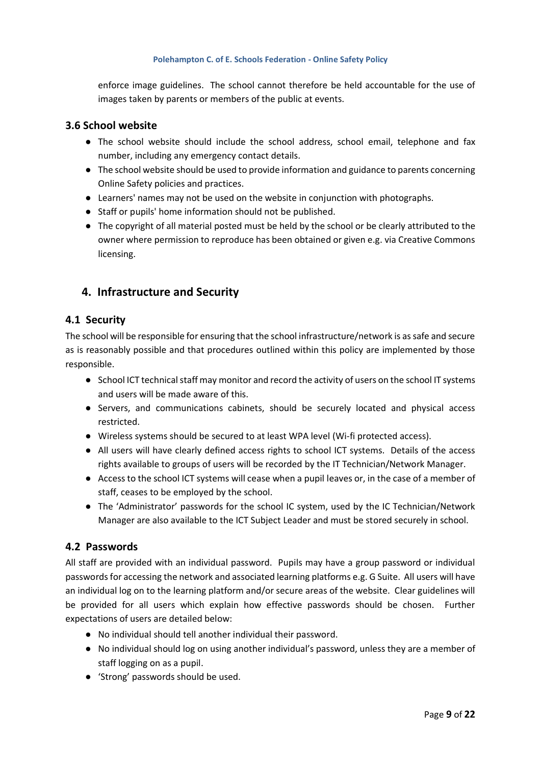enforce image guidelines. The school cannot therefore be held accountable for the use of images taken by parents or members of the public at events.

### **3.6 School website**

- The school website should include the school address, school email, telephone and fax number, including any emergency contact details.
- The school website should be used to provide information and guidance to parents concerning Online Safety policies and practices.
- Learners' names may not be used on the website in conjunction with photographs.
- Staff or pupils' home information should not be published.
- The copyright of all material posted must be held by the school or be clearly attributed to the owner where permission to reproduce has been obtained or given e.g. via Creative Commons licensing.

# **4. Infrastructure and Security**

### **4.1 Security**

The school will be responsible for ensuring that the school infrastructure/network is as safe and secure as is reasonably possible and that procedures outlined within this policy are implemented by those responsible.

- School ICT technical staff may monitor and record the activity of users on the school IT systems and users will be made aware of this.
- Servers, and communications cabinets, should be securely located and physical access restricted.
- Wireless systems should be secured to at least WPA level (Wi-fi protected access).
- All users will have clearly defined access rights to school ICT systems. Details of the access rights available to groups of users will be recorded by the IT Technician/Network Manager.
- Access to the school ICT systems will cease when a pupil leaves or, in the case of a member of staff, ceases to be employed by the school.
- The 'Administrator' passwords for the school IC system, used by the IC Technician/Network Manager are also available to the ICT Subject Leader and must be stored securely in school.

### **4.2 Passwords**

All staff are provided with an individual password. Pupils may have a group password or individual passwords for accessing the network and associated learning platforms e.g. G Suite. All users will have an individual log on to the learning platform and/or secure areas of the website. Clear guidelines will be provided for all users which explain how effective passwords should be chosen. Further expectations of users are detailed below:

- No individual should tell another individual their password.
- No individual should log on using another individual's password, unless they are a member of staff logging on as a pupil.
- 'Strong' passwords should be used.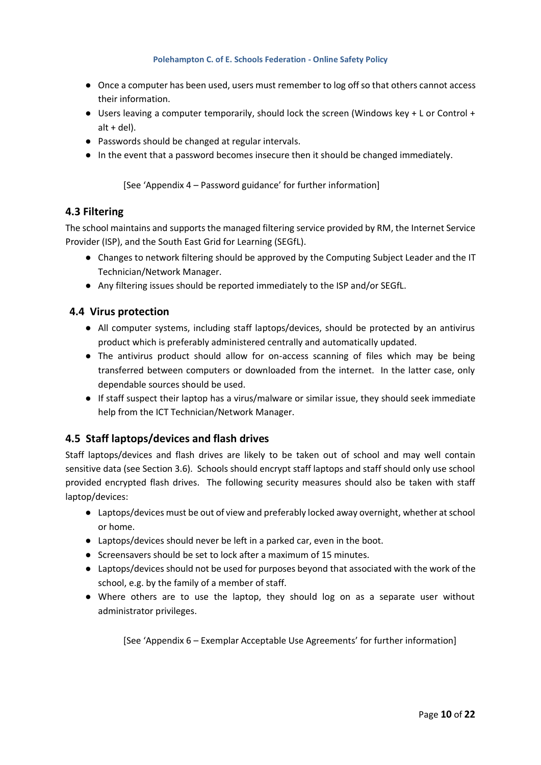- Once a computer has been used, users must remember to log off so that others cannot access their information.
- Users leaving a computer temporarily, should lock the screen (Windows key + L or Control +  $alt + del$ ).
- Passwords should be changed at regular intervals.
- In the event that a password becomes insecure then it should be changed immediately.

[See 'Appendix 4 – Password guidance' for further information]

### **4.3 Filtering**

The school maintains and supports the managed filtering service provided by RM, the Internet Service Provider (ISP), and the South East Grid for Learning (SEGfL).

- Changes to network filtering should be approved by the Computing Subject Leader and the IT Technician/Network Manager.
- Any filtering issues should be reported immediately to the ISP and/or SEGfL.

### **4.4 Virus protection**

- All computer systems, including staff laptops/devices, should be protected by an antivirus product which is preferably administered centrally and automatically updated.
- The antivirus product should allow for on-access scanning of files which may be being transferred between computers or downloaded from the internet. In the latter case, only dependable sources should be used.
- If staff suspect their laptop has a virus/malware or similar issue, they should seek immediate help from the ICT Technician/Network Manager.

### **4.5 Staff laptops/devices and flash drives**

Staff laptops/devices and flash drives are likely to be taken out of school and may well contain sensitive data (see Section 3.6). Schools should encrypt staff laptops and staff should only use school provided encrypted flash drives. The following security measures should also be taken with staff laptop/devices:

- Laptops/devices must be out of view and preferably locked away overnight, whether at school or home.
- Laptops/devices should never be left in a parked car, even in the boot.
- Screensavers should be set to lock after a maximum of 15 minutes.
- Laptops/devices should not be used for purposes beyond that associated with the work of the school, e.g. by the family of a member of staff.
- Where others are to use the laptop, they should log on as a separate user without administrator privileges.

[See 'Appendix 6 – Exemplar Acceptable Use Agreements' for further information]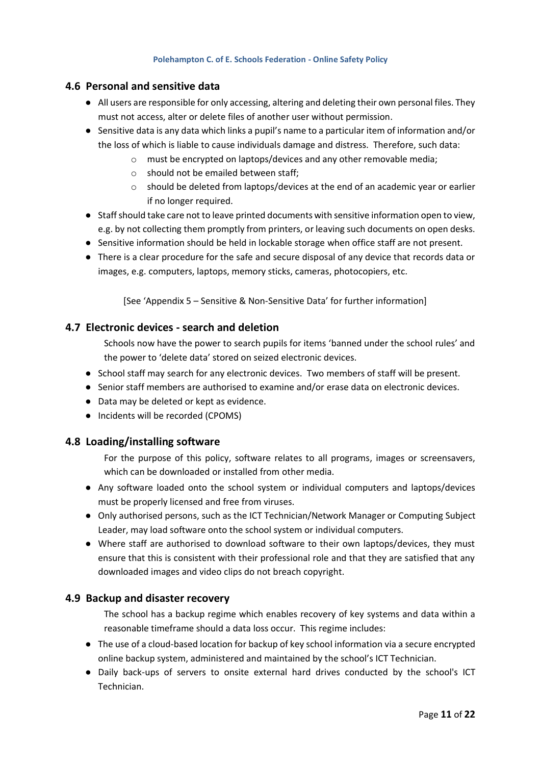### **4.6 Personal and sensitive data**

- All users are responsible for only accessing, altering and deleting their own personal files. They must not access, alter or delete files of another user without permission.
- Sensitive data is any data which links a pupil's name to a particular item of information and/or the loss of which is liable to cause individuals damage and distress. Therefore, such data:
	- o must be encrypted on laptops/devices and any other removable media;
		- o should not be emailed between staff;
		- $\circ$  should be deleted from laptops/devices at the end of an academic year or earlier if no longer required.
- Staff should take care not to leave printed documents with sensitive information open to view, e.g. by not collecting them promptly from printers, or leaving such documents on open desks.
- Sensitive information should be held in lockable storage when office staff are not present.
- There is a clear procedure for the safe and secure disposal of any device that records data or images, e.g. computers, laptops, memory sticks, cameras, photocopiers, etc.

[See 'Appendix 5 – Sensitive & Non-Sensitive Data' for further information]

### **4.7 Electronic devices - search and deletion**

Schools now have the power to search pupils for items 'banned under the school rules' and the power to 'delete data' stored on seized electronic devices.

- School staff may search for any electronic devices. Two members of staff will be present.
- Senior staff members are authorised to examine and/or erase data on electronic devices.
- Data may be deleted or kept as evidence.
- Incidents will be recorded (CPOMS)

### **4.8 Loading/installing software**

For the purpose of this policy, software relates to all programs, images or screensavers, which can be downloaded or installed from other media.

- Any software loaded onto the school system or individual computers and laptops/devices must be properly licensed and free from viruses.
- Only authorised persons, such as the ICT Technician/Network Manager or Computing Subject Leader, may load software onto the school system or individual computers.
- Where staff are authorised to download software to their own laptops/devices, they must ensure that this is consistent with their professional role and that they are satisfied that any downloaded images and video clips do not breach copyright.

### **4.9 Backup and disaster recovery**

The school has a backup regime which enables recovery of key systems and data within a reasonable timeframe should a data loss occur. This regime includes:

- The use of a cloud-based location for backup of key school information via a secure encrypted online backup system, administered and maintained by the school's ICT Technician.
- Daily back-ups of servers to onsite external hard drives conducted by the school's ICT Technician.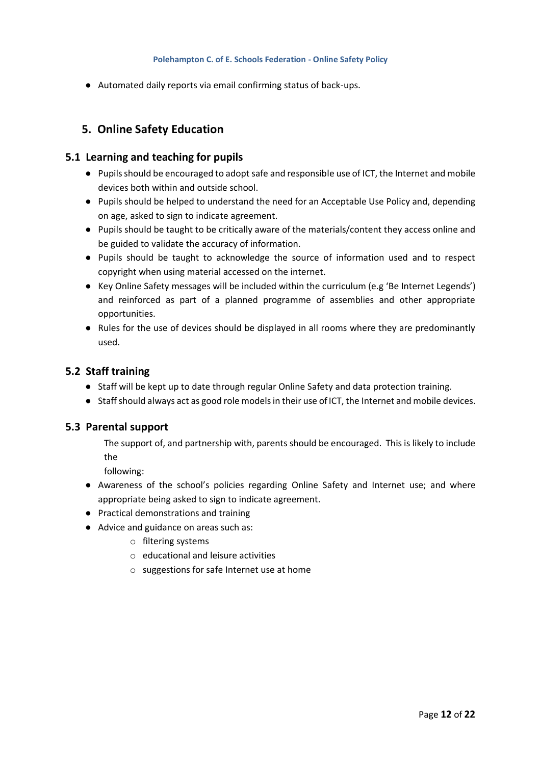● Automated daily reports via email confirming status of back-ups.

# **5. Online Safety Education**

### **5.1 Learning and teaching for pupils**

- Pupils should be encouraged to adopt safe and responsible use of ICT, the Internet and mobile devices both within and outside school.
- Pupils should be helped to understand the need for an Acceptable Use Policy and, depending on age, asked to sign to indicate agreement.
- Pupils should be taught to be critically aware of the materials/content they access online and be guided to validate the accuracy of information.
- Pupils should be taught to acknowledge the source of information used and to respect copyright when using material accessed on the internet.
- Key Online Safety messages will be included within the curriculum (e.g 'Be Internet Legends') and reinforced as part of a planned programme of assemblies and other appropriate opportunities.
- Rules for the use of devices should be displayed in all rooms where they are predominantly used.

### **5.2 Staff training**

- Staff will be kept up to date through regular Online Safety and data protection training.
- Staff should always act as good role models in their use of ICT, the Internet and mobile devices.

### **5.3 Parental support**

The support of, and partnership with, parents should be encouraged. This is likely to include the

following:

- Awareness of the school's policies regarding Online Safety and Internet use; and where appropriate being asked to sign to indicate agreement.
- Practical demonstrations and training
- Advice and guidance on areas such as:
	- o filtering systems
	- o educational and leisure activities
	- o suggestions for safe Internet use at home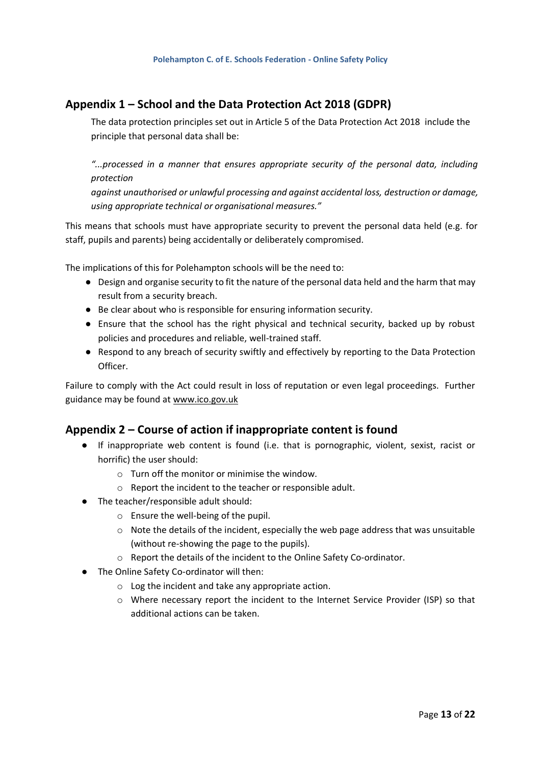### **Appendix 1 – School and the Data Protection Act 2018 (GDPR)**

The data protection principles set out in Article 5 of the Data Protection Act 2018 include the principle that personal data shall be:

*"...processed in a manner that ensures appropriate security of the personal data, including protection*

*against unauthorised or unlawful processing and against accidental loss, destruction or damage, using appropriate technical or organisational measures."*

This means that schools must have appropriate security to prevent the personal data held (e.g. for staff, pupils and parents) being accidentally or deliberately compromised.

The implications of this for Polehampton schools will be the need to:

- Design and organise security to fit the nature of the personal data held and the harm that may result from a security breach.
- Be clear about who is responsible for ensuring information security.
- Ensure that the school has the right physical and technical security, backed up by robust policies and procedures and reliable, well-trained staff.
- Respond to any breach of security swiftly and effectively by reporting to the Data Protection Officer.

Failure to comply with the Act could result in loss of reputation or even legal proceedings. Further guidance may be found at [www.ico.gov.uk](http://www.ico.gov.uk/)

### **Appendix 2 – Course of action if inappropriate content is found**

- If inappropriate web content is found (i.e. that is pornographic, violent, sexist, racist or horrific) the user should:
	- $\circ$  Turn off the monitor or minimise the window.
	- o Report the incident to the teacher or responsible adult.
- The teacher/responsible adult should:
	- o Ensure the well-being of the pupil.
	- $\circ$  Note the details of the incident, especially the web page address that was unsuitable (without re-showing the page to the pupils).
	- o Report the details of the incident to the Online Safety Co-ordinator.
- The Online Safety Co-ordinator will then:
	- o Log the incident and take any appropriate action.
	- o Where necessary report the incident to the Internet Service Provider (ISP) so that additional actions can be taken.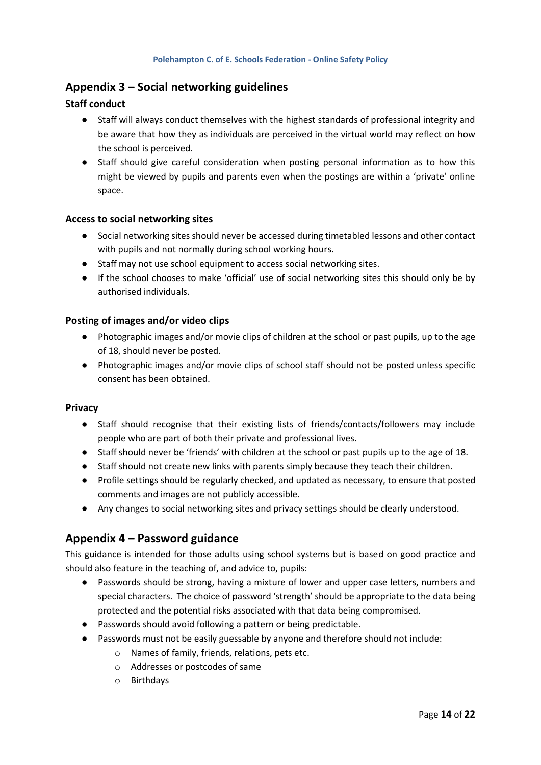### **Appendix 3 – Social networking guidelines**

### **Staff conduct**

- Staff will always conduct themselves with the highest standards of professional integrity and be aware that how they as individuals are perceived in the virtual world may reflect on how the school is perceived.
- Staff should give careful consideration when posting personal information as to how this might be viewed by pupils and parents even when the postings are within a 'private' online space.

#### **Access to social networking sites**

- Social networking sites should never be accessed during timetabled lessons and other contact with pupils and not normally during school working hours.
- Staff may not use school equipment to access social networking sites.
- If the school chooses to make 'official' use of social networking sites this should only be by authorised individuals.

#### **Posting of images and/or video clips**

- Photographic images and/or movie clips of children at the school or past pupils, up to the age of 18, should never be posted.
- Photographic images and/or movie clips of school staff should not be posted unless specific consent has been obtained.

#### **Privacy**

- Staff should recognise that their existing lists of friends/contacts/followers may include people who are part of both their private and professional lives.
- Staff should never be 'friends' with children at the school or past pupils up to the age of 18.
- Staff should not create new links with parents simply because they teach their children.
- Profile settings should be regularly checked, and updated as necessary, to ensure that posted comments and images are not publicly accessible.
- Any changes to social networking sites and privacy settings should be clearly understood.

### **Appendix 4 – Password guidance**

This guidance is intended for those adults using school systems but is based on good practice and should also feature in the teaching of, and advice to, pupils:

- Passwords should be strong, having a mixture of lower and upper case letters, numbers and special characters. The choice of password 'strength' should be appropriate to the data being protected and the potential risks associated with that data being compromised.
- Passwords should avoid following a pattern or being predictable.
- Passwords must not be easily guessable by anyone and therefore should not include:
	- o Names of family, friends, relations, pets etc.
	- o Addresses or postcodes of same
	- o Birthdays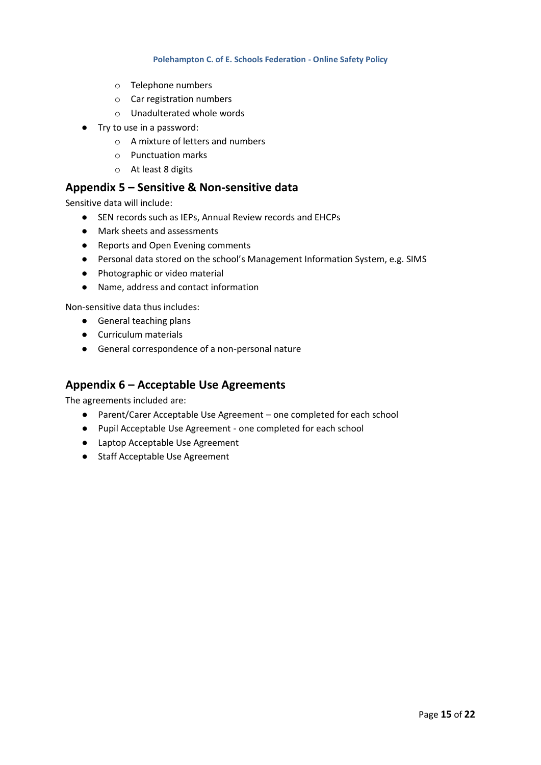- o Telephone numbers
- o Car registration numbers
- o Unadulterated whole words
- Try to use in a password:
	- o A mixture of letters and numbers
	- o Punctuation marks
	- o At least 8 digits

### **Appendix 5 – Sensitive & Non-sensitive data**

Sensitive data will include:

- SEN records such as IEPs, Annual Review records and EHCPs
- Mark sheets and assessments
- Reports and Open Evening comments
- Personal data stored on the school's Management Information System, e.g. SIMS
- Photographic or video material
- Name, address and contact information

Non-sensitive data thus includes:

- General teaching plans
- Curriculum materials
- General correspondence of a non-personal nature

### **Appendix 6 – Acceptable Use Agreements**

The agreements included are:

- Parent/Carer Acceptable Use Agreement one completed for each school
- Pupil Acceptable Use Agreement one completed for each school
- Laptop Acceptable Use Agreement
- Staff Acceptable Use Agreement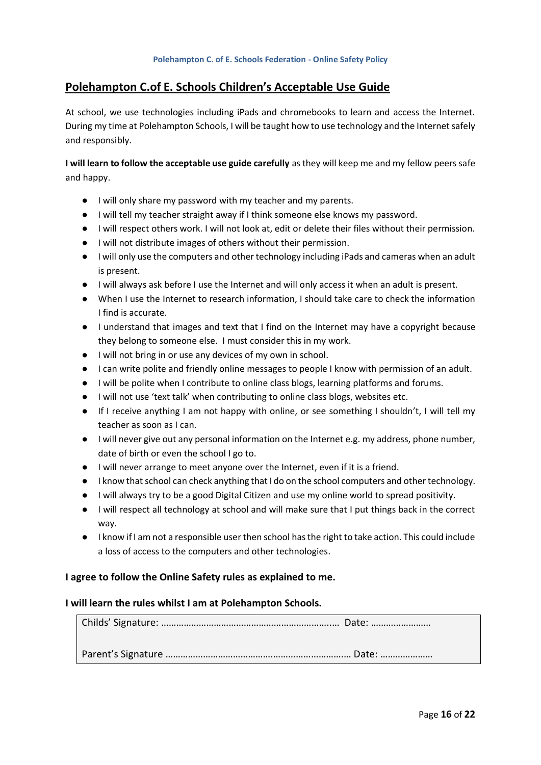### **Polehampton C.of E. Schools Children's Acceptable Use Guide**

At school, we use technologies including iPads and chromebooks to learn and access the Internet. During my time at Polehampton Schools, I will be taught how to use technology and the Internet safely and responsibly.

**I will learn to follow the acceptable use guide carefully** as they will keep me and my fellow peers safe and happy.

- I will only share my password with my teacher and my parents.
- I will tell my teacher straight away if I think someone else knows my password.
- I will respect others work. I will not look at, edit or delete their files without their permission.
- I will not distribute images of others without their permission.
- I will only use the computers and other technology including iPads and cameras when an adult is present.
- I will always ask before I use the Internet and will only access it when an adult is present.
- When I use the Internet to research information, I should take care to check the information I find is accurate.
- I understand that images and text that I find on the Internet may have a copyright because they belong to someone else. I must consider this in my work.
- I will not bring in or use any devices of my own in school.
- I can write polite and friendly online messages to people I know with permission of an adult.
- I will be polite when I contribute to online class blogs, learning platforms and forums.
- I will not use 'text talk' when contributing to online class blogs, websites etc.
- If I receive anything I am not happy with online, or see something I shouldn't, I will tell my teacher as soon as I can.
- I will never give out any personal information on the Internet e.g. my address, phone number, date of birth or even the school I go to.
- I will never arrange to meet anyone over the Internet, even if it is a friend.
- I know that school can check anything that I do on the school computers and other technology.
- I will always try to be a good Digital Citizen and use my online world to spread positivity.
- I will respect all technology at school and will make sure that I put things back in the correct way.
- I know if I am not a responsible user then school has the right to take action. This could include a loss of access to the computers and other technologies.

#### **I agree to follow the Online Safety rules as explained to me.**

#### **I will learn the rules whilst I am at Polehampton Schools.**

Childs' Signature: …………………………………………………………..… Date: ……………………

Parent's Signature …………………………………….……………………….… Date: …………………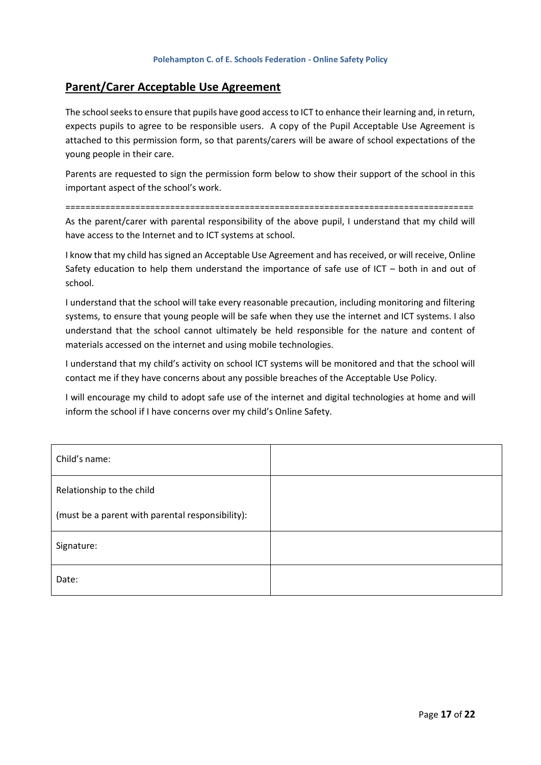### **Parent/Carer Acceptable Use Agreement**

The school seeks to ensure that pupils have good access to ICT to enhance their learning and, in return, expects pupils to agree to be responsible users. A copy of the Pupil Acceptable Use Agreement is attached to this permission form, so that parents/carers will be aware of school expectations of the young people in their care.

Parents are requested to sign the permission form below to show their support of the school in this important aspect of the school's work.

================================================================================== As the parent/carer with parental responsibility of the above pupil, I understand that my child will have access to the Internet and to ICT systems at school.

I know that my child has signed an Acceptable Use Agreement and has received, or will receive, Online Safety education to help them understand the importance of safe use of ICT – both in and out of school.

I understand that the school will take every reasonable precaution, including monitoring and filtering systems, to ensure that young people will be safe when they use the internet and ICT systems. I also understand that the school cannot ultimately be held responsible for the nature and content of materials accessed on the internet and using mobile technologies.

I understand that my child's activity on school ICT systems will be monitored and that the school will contact me if they have concerns about any possible breaches of the Acceptable Use Policy.

I will encourage my child to adopt safe use of the internet and digital technologies at home and will inform the school if I have concerns over my child's Online Safety.

| Child's name:                                    |  |
|--------------------------------------------------|--|
| Relationship to the child                        |  |
| (must be a parent with parental responsibility): |  |
| Signature:                                       |  |
| Date:                                            |  |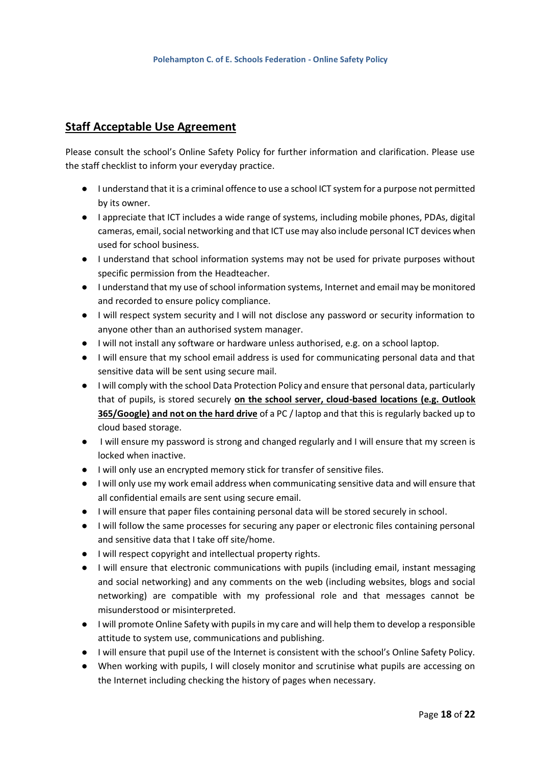# **Staff Acceptable Use Agreement**

Please consult the school's Online Safety Policy for further information and clarification. Please use the staff checklist to inform your everyday practice.

- I understand that it is a criminal offence to use a school ICT system for a purpose not permitted by its owner.
- I appreciate that ICT includes a wide range of systems, including mobile phones, PDAs, digital cameras, email, social networking and that ICT use may also include personal ICT devices when used for school business.
- I understand that school information systems may not be used for private purposes without specific permission from the Headteacher.
- I understand that my use of school information systems, Internet and email may be monitored and recorded to ensure policy compliance.
- I will respect system security and I will not disclose any password or security information to anyone other than an authorised system manager.
- I will not install any software or hardware unless authorised, e.g. on a school laptop.
- I will ensure that my school email address is used for communicating personal data and that sensitive data will be sent using secure mail.
- I will comply with the school Data Protection Policy and ensure that personal data, particularly that of pupils, is stored securely **on the school server, cloud-based locations (e.g. Outlook 365/Google) and not on the hard drive** of a PC / laptop and that this is regularly backed up to cloud based storage.
- I will ensure my password is strong and changed regularly and I will ensure that my screen is locked when inactive.
- I will only use an encrypted memory stick for transfer of sensitive files.
- I will only use my work email address when communicating sensitive data and will ensure that all confidential emails are sent using secure email.
- I will ensure that paper files containing personal data will be stored securely in school.
- I will follow the same processes for securing any paper or electronic files containing personal and sensitive data that I take off site/home.
- I will respect copyright and intellectual property rights.
- I will ensure that electronic communications with pupils (including email, instant messaging and social networking) and any comments on the web (including websites, blogs and social networking) are compatible with my professional role and that messages cannot be misunderstood or misinterpreted.
- I will promote Online Safety with pupils in my care and will help them to develop a responsible attitude to system use, communications and publishing.
- I will ensure that pupil use of the Internet is consistent with the school's Online Safety Policy.
- When working with pupils, I will closely monitor and scrutinise what pupils are accessing on the Internet including checking the history of pages when necessary.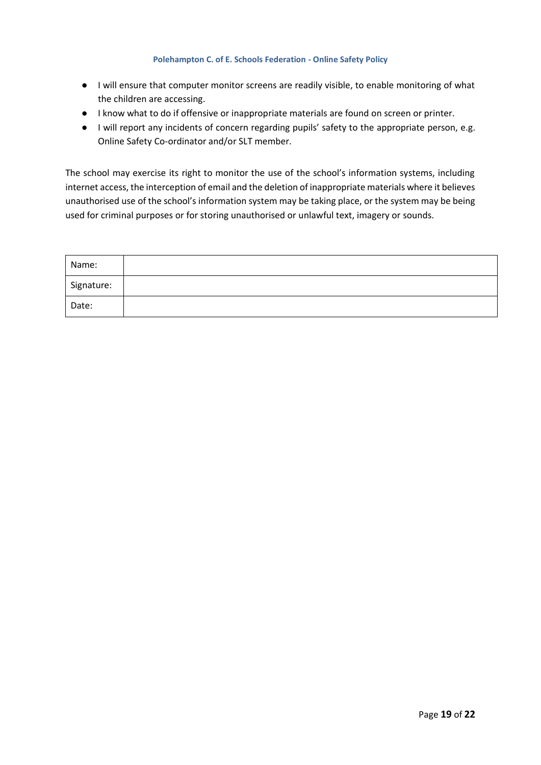- I will ensure that computer monitor screens are readily visible, to enable monitoring of what the children are accessing.
- I know what to do if offensive or inappropriate materials are found on screen or printer.
- I will report any incidents of concern regarding pupils' safety to the appropriate person, e.g. Online Safety Co-ordinator and/or SLT member.

The school may exercise its right to monitor the use of the school's information systems, including internet access, the interception of email and the deletion of inappropriate materials where it believes unauthorised use of the school's information system may be taking place, or the system may be being used for criminal purposes or for storing unauthorised or unlawful text, imagery or sounds.

| Name:      |  |
|------------|--|
| Signature: |  |
| Date:      |  |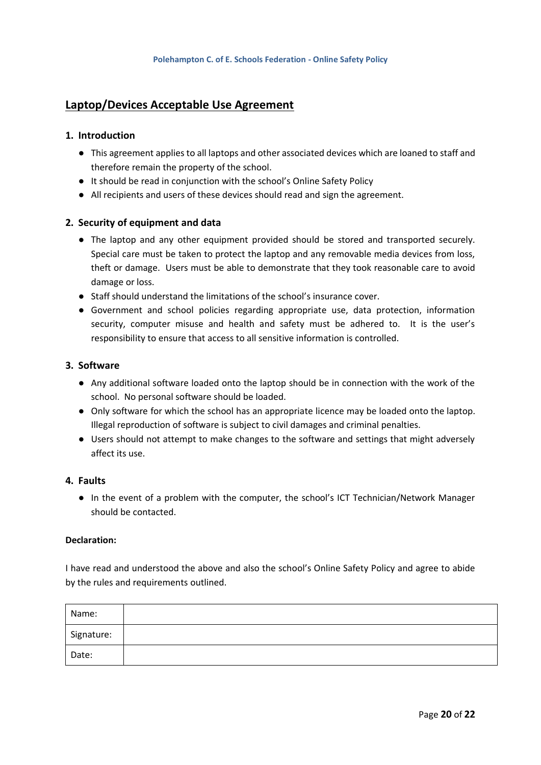# **Laptop/Devices Acceptable Use Agreement**

#### **1. Introduction**

- This agreement applies to all laptops and other associated devices which are loaned to staff and therefore remain the property of the school.
- It should be read in conjunction with the school's Online Safety Policy
- All recipients and users of these devices should read and sign the agreement.

#### **2. Security of equipment and data**

- The laptop and any other equipment provided should be stored and transported securely. Special care must be taken to protect the laptop and any removable media devices from loss, theft or damage. Users must be able to demonstrate that they took reasonable care to avoid damage or loss.
- Staff should understand the limitations of the school's insurance cover.
- Government and school policies regarding appropriate use, data protection, information security, computer misuse and health and safety must be adhered to. It is the user's responsibility to ensure that access to all sensitive information is controlled.

#### **3. Software**

- Any additional software loaded onto the laptop should be in connection with the work of the school. No personal software should be loaded.
- Only software for which the school has an appropriate licence may be loaded onto the laptop. Illegal reproduction of software is subject to civil damages and criminal penalties.
- Users should not attempt to make changes to the software and settings that might adversely affect its use.

#### **4. Faults**

● In the event of a problem with the computer, the school's ICT Technician/Network Manager should be contacted.

#### **Declaration:**

I have read and understood the above and also the school's Online Safety Policy and agree to abide by the rules and requirements outlined.

| Name:      |  |  |
|------------|--|--|
| Signature: |  |  |
| Date:      |  |  |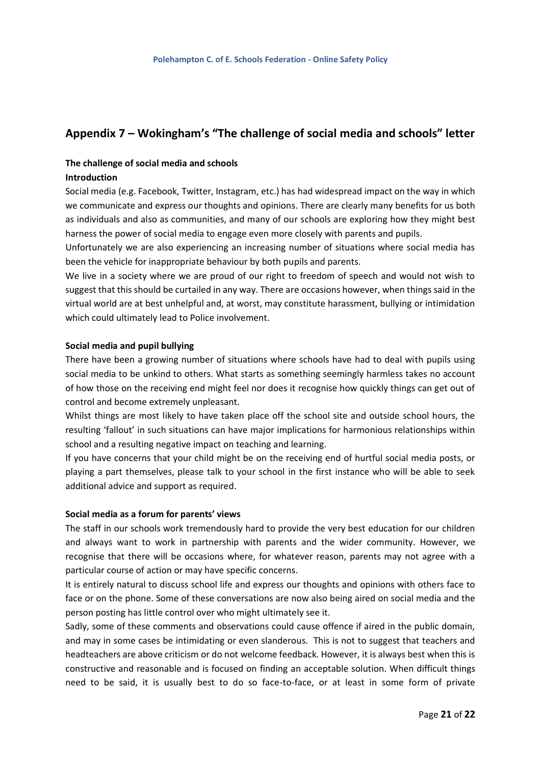# **Appendix 7 – Wokingham's "The challenge of social media and schools" letter**

# **The challenge of social media and schools**

### **Introduction**

Social media (e.g. Facebook, Twitter, Instagram, etc.) has had widespread impact on the way in which we communicate and express our thoughts and opinions. There are clearly many benefits for us both as individuals and also as communities, and many of our schools are exploring how they might best harness the power of social media to engage even more closely with parents and pupils.

Unfortunately we are also experiencing an increasing number of situations where social media has been the vehicle for inappropriate behaviour by both pupils and parents.

We live in a society where we are proud of our right to freedom of speech and would not wish to suggest that this should be curtailed in any way. There are occasions however, when things said in the virtual world are at best unhelpful and, at worst, may constitute harassment, bullying or intimidation which could ultimately lead to Police involvement.

#### **Social media and pupil bullying**

There have been a growing number of situations where schools have had to deal with pupils using social media to be unkind to others. What starts as something seemingly harmless takes no account of how those on the receiving end might feel nor does it recognise how quickly things can get out of control and become extremely unpleasant.

Whilst things are most likely to have taken place off the school site and outside school hours, the resulting 'fallout' in such situations can have major implications for harmonious relationships within school and a resulting negative impact on teaching and learning.

If you have concerns that your child might be on the receiving end of hurtful social media posts, or playing a part themselves, please talk to your school in the first instance who will be able to seek additional advice and support as required.

#### **Social media as a forum for parents' views**

The staff in our schools work tremendously hard to provide the very best education for our children and always want to work in partnership with parents and the wider community. However, we recognise that there will be occasions where, for whatever reason, parents may not agree with a particular course of action or may have specific concerns.

It is entirely natural to discuss school life and express our thoughts and opinions with others face to face or on the phone. Some of these conversations are now also being aired on social media and the person posting has little control over who might ultimately see it.

Sadly, some of these comments and observations could cause offence if aired in the public domain, and may in some cases be intimidating or even slanderous. This is not to suggest that teachers and headteachers are above criticism or do not welcome feedback. However, it is always best when this is constructive and reasonable and is focused on finding an acceptable solution. When difficult things need to be said, it is usually best to do so face-to-face, or at least in some form of private